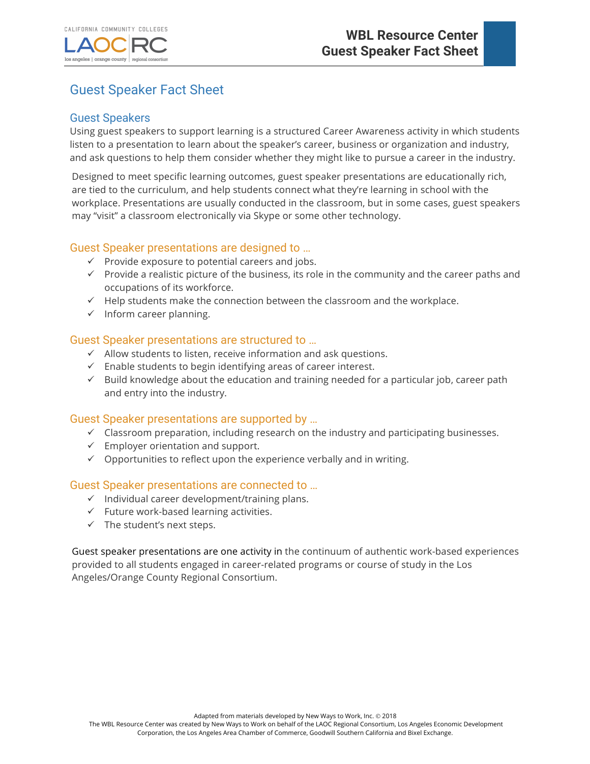los angeles | orange county



# Guest Speaker Fact Sheet

regional consortiu

#### Guest Speakers

Using guest speakers to support learning is a structured Career Awareness activity in which students listen to a presentation to learn about the speaker's career, business or organization and industry, and ask questions to help them consider whether they might like to pursue a career in the industry.

Designed to meet specific learning outcomes, guest speaker presentations are educationally rich, are tied to the curriculum, and help students connect what they're learning in school with the workplace. Presentations are usually conducted in the classroom, but in some cases, guest speakers may "visit" a classroom electronically via Skype or some other technology.

## Guest Speaker presentations are designed to …

- $\checkmark$  Provide exposure to potential careers and jobs.
- $\checkmark$  Provide a realistic picture of the business, its role in the community and the career paths and occupations of its workforce.
- $\checkmark$  Help students make the connection between the classroom and the workplace.
- $\checkmark$  Inform career planning.

## Guest Speaker presentations are structured to …

- $\checkmark$  Allow students to listen, receive information and ask questions.
- $\checkmark$  Enable students to begin identifying areas of career interest.
- $\checkmark$  Build knowledge about the education and training needed for a particular job, career path and entry into the industry.

#### Guest Speaker presentations are supported by …

- $\checkmark$  Classroom preparation, including research on the industry and participating businesses.
- $\checkmark$  Employer orientation and support.
- $\checkmark$  Opportunities to reflect upon the experience verbally and in writing.

## Guest Speaker presentations are connected to …

- $\checkmark$  Individual career development/training plans.
- $\checkmark$  Future work-based learning activities.
- $\checkmark$  The student's next steps.

Guest speaker presentations are one activity in the continuum of authentic work-based experiences provided to all students engaged in career-related programs or course of study in the Los Angeles/Orange County Regional Consortium.